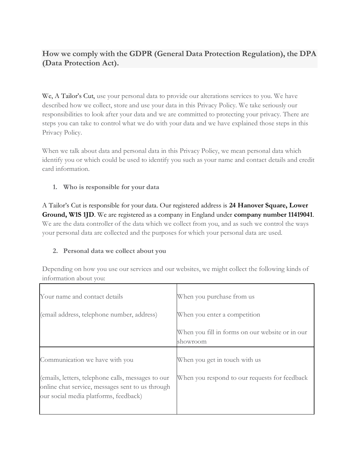# **How we comply with the GDPR (General Data Protection Regulation), the DPA (Data Protection Act).**

We, A Tailor's Cut, use your personal data to provide our alterations services to you. We have described how we collect, store and use your data in this Privacy Policy. We take seriously our responsibilities to look after your data and we are committed to protecting your privacy. There are steps you can take to control what we do with your data and we have explained those steps in this Privacy Policy.

When we talk about data and personal data in this Privacy Policy, we mean personal data which identify you or which could be used to identify you such as your name and contact details and credit card information.

### **1. Who is responsible for your data**

A Tailor's Cut is responsible for your data. Our registered address is **24 Hanover Square, Lower Ground, W1S 1JD**. We are registered as a company in England under **company number 11419041**. We are the data controller of the data which we collect from you, and as such we control the ways your personal data are collected and the purposes for which your personal data are used.

### **2. Personal data we collect about you**

Depending on how you use our services and our websites, we might collect the following kinds of information about you:

| Your name and contact details                                                                                                                   | When you purchase from us                                   |
|-------------------------------------------------------------------------------------------------------------------------------------------------|-------------------------------------------------------------|
| (email address, telephone number, address)                                                                                                      | When you enter a competition                                |
|                                                                                                                                                 | When you fill in forms on our website or in our<br>showroom |
| Communication we have with you                                                                                                                  | When you get in touch with us                               |
| (emails, letters, telephone calls, messages to our<br>online chat service, messages sent to us through<br>our social media platforms, feedback) | When you respond to our requests for feedback               |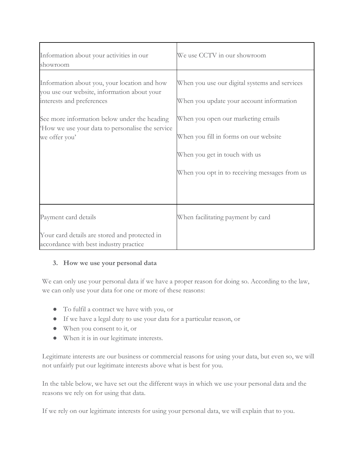| We use CCTV in our showroom                                                                                                                                   |
|---------------------------------------------------------------------------------------------------------------------------------------------------------------|
| When you use our digital systems and services<br>When you update your account information                                                                     |
| When you open our marketing emails<br>When you fill in forms on our website<br>When you get in touch with us<br>When you opt in to receiving messages from us |
| When facilitating payment by card                                                                                                                             |
|                                                                                                                                                               |

### **3. How we use your personal data**

We can only use your personal data if we have a proper reason for doing so. According to the law, we can only use your data for one or more of these reasons:

- To fulfil a contract we have with you, or
- If we have a legal duty to use your data for a particular reason, or
- When you consent to it, or
- When it is in our legitimate interests.

Legitimate interests are our business or commercial reasons for using your data, but even so, we will not unfairly put our legitimate interests above what is best for you.

In the table below, we have set out the different ways in which we use your personal data and the reasons we rely on for using that data.

If we rely on our legitimate interests for using your personal data, we will explain that to you.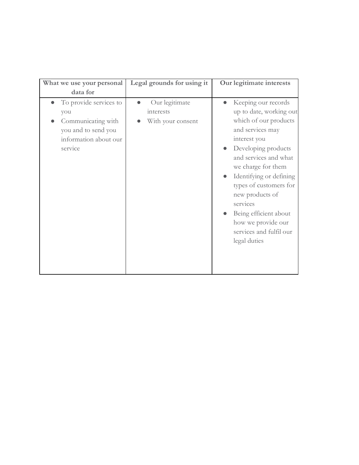| What we use your personal                                                                                      | Legal grounds for using it                       | Our legitimate interests                                                                                                                                                                                                                                                                                                                                        |
|----------------------------------------------------------------------------------------------------------------|--------------------------------------------------|-----------------------------------------------------------------------------------------------------------------------------------------------------------------------------------------------------------------------------------------------------------------------------------------------------------------------------------------------------------------|
| data for                                                                                                       |                                                  |                                                                                                                                                                                                                                                                                                                                                                 |
| To provide services to<br>you<br>Communicating with<br>you and to send you<br>information about our<br>service | Our legitimate<br>interests<br>With your consent | Keeping our records<br>up to date, working out<br>which of our products<br>and services may<br>interest you<br>Developing products<br>and services and what<br>we charge for them<br>Identifying or defining<br>types of customers for<br>new products of<br>services<br>Being efficient about<br>how we provide our<br>services and fulfil our<br>legal duties |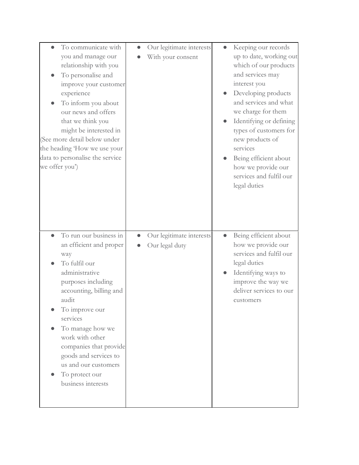| To communicate with<br>you and manage our<br>relationship with you<br>To personalise and<br>improve your customer<br>experience<br>To inform you about<br>our news and offers<br>that we think you<br>might be interested in<br>(See more detail below under<br>the heading 'How we use your<br>data to personalise the service<br>we offer you') | Our legitimate interests<br>With your consent | Keeping our records<br>up to date, working out<br>which of our products<br>and services may<br>interest you<br>Developing products<br>and services and what<br>we charge for them<br>Identifying or defining<br>types of customers for<br>new products of<br>services<br>Being efficient about<br>how we provide our<br>services and fulfil our<br>legal duties |
|---------------------------------------------------------------------------------------------------------------------------------------------------------------------------------------------------------------------------------------------------------------------------------------------------------------------------------------------------|-----------------------------------------------|-----------------------------------------------------------------------------------------------------------------------------------------------------------------------------------------------------------------------------------------------------------------------------------------------------------------------------------------------------------------|
| To run our business in<br>an efficient and proper<br>way<br>To fulfil our<br>administrative<br>purposes including<br>accounting, billing and<br>audit<br>To improve our<br>services<br>To manage how we<br>work with other<br>companies that provide<br>goods and services to<br>us and our customers<br>To protect our<br>business interests     | Our legitimate interests<br>Our legal duty    | Being efficient about<br>how we provide our<br>services and fulfil our<br>legal duties<br>Identifying ways to<br>improve the way we<br>deliver services to our<br>customers                                                                                                                                                                                     |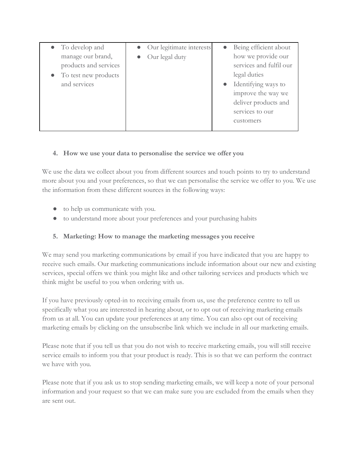| • To develop and               | • Our legitimate interests | Being efficient about<br>$\bullet$ |
|--------------------------------|----------------------------|------------------------------------|
| manage our brand,              | $\bullet$ Our legal duty   | how we provide our                 |
| products and services          |                            | services and fulfil our            |
| $\bullet$ To test new products |                            | legal duties                       |
| and services                   |                            | Identifying ways to<br>$\bullet$   |
|                                |                            | improve the way we                 |
|                                |                            | deliver products and               |
|                                |                            | services to our                    |
|                                |                            | customers                          |
|                                |                            |                                    |

### **4. How we use your data to personalise the service we offer you**

We use the data we collect about you from different sources and touch points to try to understand more about you and your preferences, so that we can personalise the service we offer to you. We use the information from these different sources in the following ways:

- to help us communicate with you.
- to understand more about your preferences and your purchasing habits

# **5. Marketing: How to manage the marketing messages you receive**

We may send you marketing communications by email if you have indicated that you are happy to receive such emails. Our marketing communications include information about our new and existing services, special offers we think you might like and other tailoring services and products which we think might be useful to you when ordering with us.

If you have previously opted-in to receiving emails from us, use the preference centre to tell us specifically what you are interested in hearing about, or to opt out of receiving marketing emails from us at all. You can update your preferences at any time. You can also opt out of receiving marketing emails by clicking on the unsubscribe link which we include in all our marketing emails.

Please note that if you tell us that you do not wish to receive marketing emails, you will still receive service emails to inform you that your product is ready. This is so that we can perform the contract we have with you.

Please note that if you ask us to stop sending marketing emails, we will keep a note of your personal information and your request so that we can make sure you are excluded from the emails when they are sent out.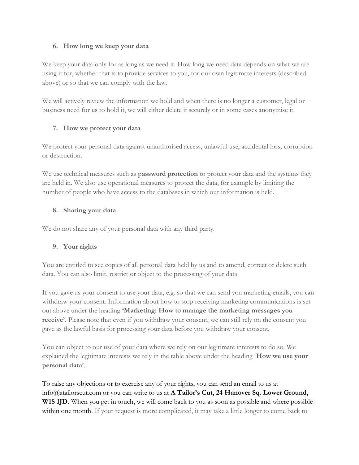#### **6. How long we keep your data**

We keep your data only for as long as we need it. How long we need data depends on what we are using it for, whether that is to provide services to you, for our own legitimate interests (described above) or so that we can comply with the law.

We will actively review the information we hold and when there is no longer a customer, legal or business need for us to hold it, we will either delete it securely or in some cases anonymise it.

### **7. How we protect your data**

We protect your personal data against unauthorised access, unlawful use, accidental loss, corruption or destruction.

We use technical measures such as p**assword protection** to protect your data and the systems they are held in. We also use operational measures to protect the data, for example by limiting the number of people who have access to the databases in which our information is held.

### **8. Sharing your data**

We do not share any of your personal data with any third party.

# **9. Your rights**

You are entitled to see copies of all personal data held by us and to amend, correct or delete such data. You can also limit, restrict or object to the processing of your data.

If you gave us your consent to use your data, e.g. so that we can send you marketing emails, you can withdraw your consent. Information about how to stop receiving marketing communications is set out above under the heading **'Marketing: How to manage the marketing messages you receive'**. Please note that even if you withdraw your consent, we can still rely on the consent you gave as the lawful basis for processing your data before you withdraw your consent.

You can object to our use of your data where we rely on our legitimate interests to do so. We explained the legitimate interests we rely in the table above under the heading '**How we use your personal data**'.

To raise any objections or to exercise any of your rights, you can send an email to us at info@atailorscut.com or you can write to us at **A Tailor's Cut, 24 Hanover Sq. Lower Ground, W1S 1JD.** When you get in touch, we will come back to you as soon as possible and where possible within one month. If your request is more complicated, it may take a little longer to come back to